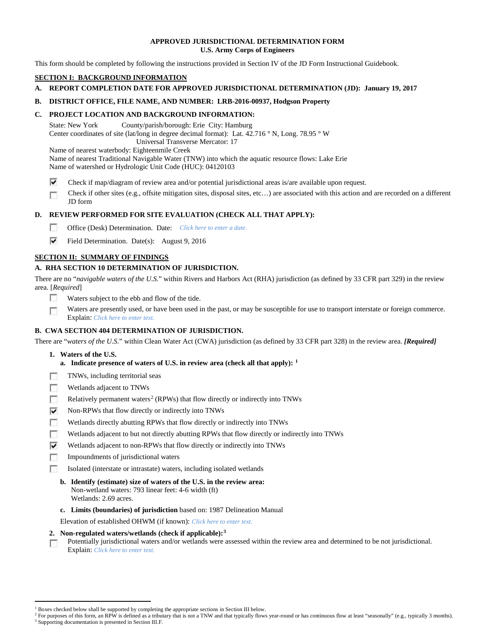# **APPROVED JURISDICTIONAL DETERMINATION FORM U.S. Army Corps of Engineers**

This form should be completed by following the instructions provided in Section IV of the JD Form Instructional Guidebook.

# **SECTION I: BACKGROUND INFORMATION**

# **A. REPORT COMPLETION DATE FOR APPROVED JURISDICTIONAL DETERMINATION (JD): January 19, 2017**

# **B. DISTRICT OFFICE, FILE NAME, AND NUMBER: LRB-2016-00937, Hodgson Property**

# **C. PROJECT LOCATION AND BACKGROUND INFORMATION:**

State: New York County/parish/borough: Erie City: Hamburg Center coordinates of site (lat/long in degree decimal format): Lat. 42.716 ° N, Long. 78.95 ° W Universal Transverse Mercator: 17

Name of nearest waterbody: Eighteenmile Creek

Name of nearest Traditional Navigable Water (TNW) into which the aquatic resource flows: Lake Erie

Name of watershed or Hydrologic Unit Code (HUC): 04120103

⊽ Check if map/diagram of review area and/or potential jurisdictional areas is/are available upon request.

Check if other sites (e.g., offsite mitigation sites, disposal sites, etc…) are associated with this action and are recorded on a different г JD form

# **D. REVIEW PERFORMED FOR SITE EVALUATION (CHECK ALL THAT APPLY):**

- $\sim$ Office (Desk) Determination. Date: *Click here to enter a date.*
- ⊽ Field Determination. Date(s): August 9, 2016

# **SECTION II: SUMMARY OF FINDINGS**

# **A. RHA SECTION 10 DETERMINATION OF JURISDICTION.**

There are no "*navigable waters of the U.S.*" within Rivers and Harbors Act (RHA) jurisdiction (as defined by 33 CFR part 329) in the review area. [*Required*]

- п Waters subject to the ebb and flow of the tide.
- Waters are presently used, or have been used in the past, or may be susceptible for use to transport interstate or foreign commerce. п Explain: *Click here to enter text.*

# **B. CWA SECTION 404 DETERMINATION OF JURISDICTION.**

There are "*waters of the U.S.*" within Clean Water Act (CWA) jurisdiction (as defined by 33 CFR part 328) in the review area. *[Required]*

- **1. Waters of the U.S.**
	- **a. Indicate presence of waters of U.S. in review area (check all that apply): [1](#page-0-0)**
- п TNWs, including territorial seas
- T. Wetlands adjacent to TNWs
- $\sim$ Relatively permanent waters<sup>[2](#page-0-1)</sup> (RPWs) that flow directly or indirectly into TNWs
- ⊽ Non-RPWs that flow directly or indirectly into TNWs
- n Wetlands directly abutting RPWs that flow directly or indirectly into TNWs
- Wetlands adjacent to but not directly abutting RPWs that flow directly or indirectly into TNWs п
- ⊽ Wetlands adjacent to non-RPWs that flow directly or indirectly into TNWs
- $\sim$ Impoundments of jurisdictional waters
- Isolated (interstate or intrastate) waters, including isolated wetlands п
	- **b. Identify (estimate) size of waters of the U.S. in the review area:** Non-wetland waters: 793 linear feet: 4-6 width (ft) Wetlands: 2.69 acres.
	- **c. Limits (boundaries) of jurisdiction** based on: 1987 Delineation Manual

Elevation of established OHWM (if known): *Click here to enter text.*

- **2. Non-regulated waters/wetlands (check if applicable):[3](#page-0-2)**
- Potentially jurisdictional waters and/or wetlands were assessed within the review area and determined to be not jurisdictional. п Explain: *Click here to enter text.*

<sup>&</sup>lt;sup>1</sup> Boxes checked below shall be supported by completing the appropriate sections in Section III below.

<span id="page-0-2"></span><span id="page-0-1"></span><span id="page-0-0"></span>For purposes of this form, an RPW is defined as a tributary that is not a TNW and that typically flows year-round or has continuous flow at least "seasonally" (e.g., typically 3 months). <sup>3</sup> Supporting documentation is presented in Section III.F.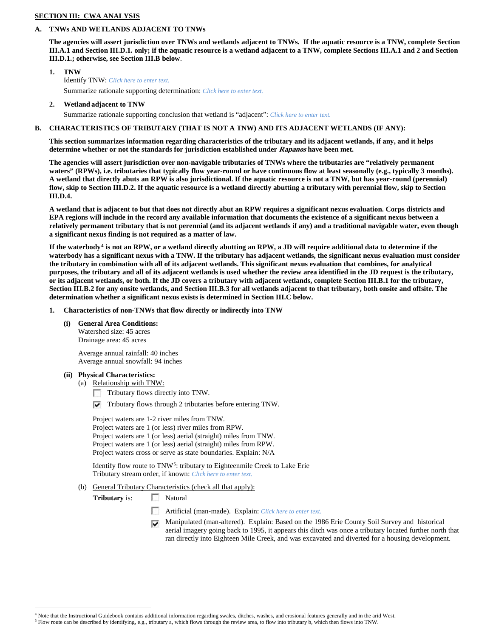# **SECTION III: CWA ANALYSIS**

#### **A. TNWs AND WETLANDS ADJACENT TO TNWs**

**The agencies will assert jurisdiction over TNWs and wetlands adjacent to TNWs. If the aquatic resource is a TNW, complete Section III.A.1 and Section III.D.1. only; if the aquatic resource is a wetland adjacent to a TNW, complete Sections III.A.1 and 2 and Section III.D.1.; otherwise, see Section III.B below**.

- **1. TNW**  Identify TNW: *Click here to enter text.* Summarize rationale supporting determination: *Click here to enter text.*
- **2. Wetland adjacent to TNW**

Summarize rationale supporting conclusion that wetland is "adjacent": *Click here to enter text.*

# **B. CHARACTERISTICS OF TRIBUTARY (THAT IS NOT A TNW) AND ITS ADJACENT WETLANDS (IF ANY):**

**This section summarizes information regarding characteristics of the tributary and its adjacent wetlands, if any, and it helps determine whether or not the standards for jurisdiction established under Rapanos have been met.** 

**The agencies will assert jurisdiction over non-navigable tributaries of TNWs where the tributaries are "relatively permanent waters" (RPWs), i.e. tributaries that typically flow year-round or have continuous flow at least seasonally (e.g., typically 3 months). A wetland that directly abuts an RPW is also jurisdictional. If the aquatic resource is not a TNW, but has year-round (perennial) flow, skip to Section III.D.2. If the aquatic resource is a wetland directly abutting a tributary with perennial flow, skip to Section III.D.4.**

**A wetland that is adjacent to but that does not directly abut an RPW requires a significant nexus evaluation. Corps districts and EPA regions will include in the record any available information that documents the existence of a significant nexus between a relatively permanent tributary that is not perennial (and its adjacent wetlands if any) and a traditional navigable water, even though a significant nexus finding is not required as a matter of law.**

**If the waterbody[4](#page-1-0) is not an RPW, or a wetland directly abutting an RPW, a JD will require additional data to determine if the waterbody has a significant nexus with a TNW. If the tributary has adjacent wetlands, the significant nexus evaluation must consider the tributary in combination with all of its adjacent wetlands. This significant nexus evaluation that combines, for analytical purposes, the tributary and all of its adjacent wetlands is used whether the review area identified in the JD request is the tributary, or its adjacent wetlands, or both. If the JD covers a tributary with adjacent wetlands, complete Section III.B.1 for the tributary, Section III.B.2 for any onsite wetlands, and Section III.B.3 for all wetlands adjacent to that tributary, both onsite and offsite. The determination whether a significant nexus exists is determined in Section III.C below.**

- **1. Characteristics of non-TNWs that flow directly or indirectly into TNW**
	- **(i) General Area Conditions:**

Watershed size: 45 acres Drainage area: 45 acres

Average annual rainfall: 40 inches Average annual snowfall: 94 inches

- **(ii) Physical Characteristics:**
	- (a) Relationship with TNW:
		- Tributary flows directly into TNW.
		- $\triangledown$  Tributary flows through 2 tributaries before entering TNW.

Project waters are 1-2 river miles from TNW. Project waters are 1 (or less) river miles from RPW. Project waters are 1 (or less) aerial (straight) miles from TNW. Project waters are 1 (or less) aerial (straight) miles from RPW. Project waters cross or serve as state boundaries. Explain: N/A

Identify flow route to TNW<sup>5</sup>: tributary to Eighteenmile Creek to Lake Erie Tributary stream order, if known: *Click here to enter text.*

(b) General Tributary Characteristics (check all that apply):

**Tributary** is: Natural

- n Artificial (man-made). Explain: *Click here to enter text.*
- $\overline{\mathbf{v}}$ Manipulated (man-altered). Explain: Based on the 1986 Erie County Soil Survey and historical aerial imagery going back to 1995, it appears this ditch was once a tributary located further north that ran directly into Eighteen Mile Creek, and was excavated and diverted for a housing development.

<span id="page-1-1"></span><span id="page-1-0"></span> <sup>4</sup> Note that the Instructional Guidebook contains additional information regarding swales, ditches, washes, and erosional features generally and in the arid West.

<sup>5</sup> Flow route can be described by identifying, e.g., tributary a, which flows through the review area, to flow into tributary b, which then flows into TNW.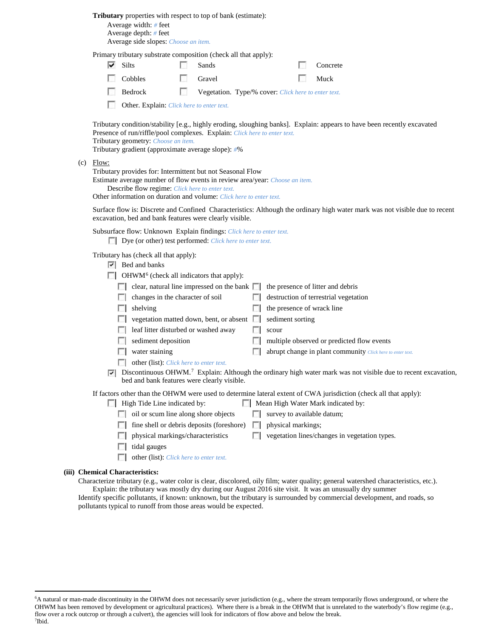**Tributary** properties with respect to top of bank (estimate):

Average width: *#* feet Average depth: *#* feet Average side slopes: *Choose an item.*

Primary tributary substrate composition (check all that apply):

| $\overline{\triangledown}$ Silts | Sands                                                                        | Concrete |
|----------------------------------|------------------------------------------------------------------------------|----------|
| $\Box$ Cobbles                   | <b>Cravel</b>                                                                | Muck     |
| Bedrock                          | <b>Example 20</b> Vegetation. Type/% cover: <i>Click here to enter text.</i> |          |

Other. Explain: *Click here to enter text.*

Tributary condition/stability [e.g., highly eroding, sloughing banks]. Explain: appears to have been recently excavated Presence of run/riffle/pool complexes. Explain: *Click here to enter text.* Tributary geometry: *Choose an item.*

Tributary gradient (approximate average slope): *#*%

(c) Flow:

Tributary provides for: Intermittent but not Seasonal Flow

Estimate average number of flow events in review area/year: *Choose an item.*

Describe flow regime: *Click here to enter text.*

Other information on duration and volume: *Click here to enter text.*

Surface flow is: Discrete and Confined Characteristics: Although the ordinary high water mark was not visible due to recent excavation, bed and bank features were clearly visible.

Subsurface flow: Unknown Explain findings: *Click here to enter text.*

Dye (or other) test performed: *Click here to enter text.*

Tributary has (check all that apply):

- **Bed** and banks
- $\Box$  OHWM<sup>[6](#page-2-0)</sup> (check all indicators that apply):

| $\mathbf{1}$        | clear, natural line impressed on the bank $\Box$ the presence of litter and debris |        |                                                            |
|---------------------|------------------------------------------------------------------------------------|--------|------------------------------------------------------------|
|                     | changes in the character of soil                                                   | L.     | destruction of terrestrial vegetation                      |
|                     | shelving                                                                           |        | the presence of wrack line                                 |
| <b>FOR</b>          | vegetation matted down, bent, or absent                                            | $\sim$ | sediment sorting                                           |
| <b>All Services</b> | leaf litter disturbed or washed away                                               |        | scour                                                      |
|                     | sediment deposition                                                                |        | multiple observed or predicted flow events                 |
|                     | water staining                                                                     |        | abrupt change in plant community Click here to enter text. |
|                     | <b>other (list):</b> <i>Click here to enter text.</i>                              |        |                                                            |

 $\nabla$  Discontinuous OHWM.<sup>7</sup> Explain: Although the ordinary high water mark was not visible due to recent excavation, bed and bank features were clearly visible.

If factors other than the OHWM were used to determine lateral extent of CWA jurisdiction (check all that apply):

- $\Box$  High Tide Line indicated by:  $\Box$  Mean High Water Mark indicated by:
	- oil or scum line along shore objects  $\Box$  survey to available datum;
	- $\Box$  fine shell or debris deposits (foreshore)  $\Box$  physical markings;
	- **physical markings/characteristics**  $\Box$  vegetation lines/changes in vegetation types.
	- $\Box$  tidal gauges
	- other (list): *Click here to enter text.*

#### **(iii) Chemical Characteristics:**

Characterize tributary (e.g., water color is clear, discolored, oily film; water quality; general watershed characteristics, etc.). Explain: the tributary was mostly dry during our August 2016 site visit. It was an unusually dry summer

Identify specific pollutants, if known: unknown, but the tributary is surrounded by commercial development, and roads, so pollutants typical to runoff from those areas would be expected.

<span id="page-2-1"></span><span id="page-2-0"></span> <sup>6</sup> <sup>6</sup>A natural or man-made discontinuity in the OHWM does not necessarily sever jurisdiction (e.g., where the stream temporarily flows underground, or where the OHWM has been removed by development or agricultural practices). Where there is a break in the OHWM that is unrelated to the waterbody's flow regime (e.g., flow over a rock outcrop or through a culvert), the agencies will look for indicators of flow above and below the break. 7 Ibid.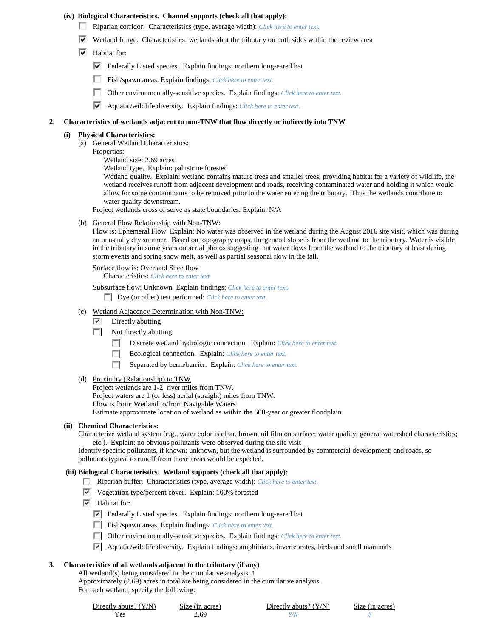# **(iv) Biological Characteristics. Channel supports (check all that apply):**

- Riparian corridor. Characteristics (type, average width): *Click here to enter text.*
- $\blacktriangledown$  Wetland fringe. Characteristics: wetlands abut the tributary on both sides within the review area
- $\blacktriangleright$  Habitat for:
	- Federally Listed species. Explain findings: northern long-eared bat
	- Fish/spawn areas. Explain findings: *Click here to enter text.*
	- $\sim$ Other environmentally-sensitive species. Explain findings: *Click here to enter text.*
	- Aquatic/wildlife diversity. Explain findings: *Click here to enter text.*

#### **2. Characteristics of wetlands adjacent to non-TNW that flow directly or indirectly into TNW**

# **(i) Physical Characteristics:**

- (a) General Wetland Characteristics:
	- Properties:
		- Wetland size: 2.69 acres

Wetland type. Explain: palustrine forested

Wetland quality. Explain: wetland contains mature trees and smaller trees, providing habitat for a variety of wildlife, the wetland receives runoff from adjacent development and roads, receiving contaminated water and holding it which would allow for some contaminants to be removed prior to the water entering the tributary. Thus the wetlands contribute to water quality downstream.

Project wetlands cross or serve as state boundaries. Explain: N/A

(b) General Flow Relationship with Non-TNW:

Flow is: Ephemeral Flow Explain: No water was observed in the wetland during the August 2016 site visit, which was during an unusually dry summer. Based on topography maps, the general slope is from the wetland to the tributary. Water is visible in the tributary in some years on aerial photos suggesting that water flows from the wetland to the tributary at least during storm events and spring snow melt, as well as partial seasonal flow in the fall.

Surface flow is: Overland Sheetflow

Characteristics: *Click here to enter text.*

Subsurface flow: Unknown Explain findings: *Click here to enter text.*

Dye (or other) test performed: *Click here to enter text.*

# (c) Wetland Adjacency Determination with Non-TNW:

- $\nabla$  Directly abutting
- Not directly abutting
	- Discrete wetland hydrologic connection. Explain: *Click here to enter text.*
	- Ecological connection. Explain: *Click here to enter text.*
	- Separated by berm/barrier. Explain: *Click here to enter text.*
- (d) Proximity (Relationship) to TNW

Project wetlands are 1-2 river miles from TNW. Project waters are 1 (or less) aerial (straight) miles from TNW. Flow is from: Wetland to/from Navigable Waters Estimate approximate location of wetland as within the 500-year or greater floodplain.

#### **(ii) Chemical Characteristics:**

Characterize wetland system (e.g., water color is clear, brown, oil film on surface; water quality; general watershed characteristics; etc.). Explain: no obvious pollutants were observed during the site visit

Identify specific pollutants, if known: unknown, but the wetland is surrounded by commercial development, and roads, so pollutants typical to runoff from those areas would be expected.

#### **(iii) Biological Characteristics. Wetland supports (check all that apply):**

- Riparian buffer. Characteristics (type, average width): *Click here to enter text.*
- $\triangledown$  Vegetation type/percent cover. Explain: 100% forested
- $\overline{\triangledown}$  Habitat for:
	- Federally Listed species. Explain findings: northern long-eared bat
	- Fish/spawn areas. Explain findings: *Click here to enter text.*
	- Other environmentally-sensitive species. Explain findings: *Click here to enter text.*
	- $\triangledown$  Aquatic/wildlife diversity. Explain findings: amphibians, invertebrates, birds and small mammals

# **3. Characteristics of all wetlands adjacent to the tributary (if any)**

All wetland(s) being considered in the cumulative analysis: 1

Approximately (2.69) acres in total are being considered in the cumulative analysis.

For each wetland, specify the following:

| Directly abuts? $(Y/N)$ | Size (in acres) | Directly abuts? $(Y/N)$ | Size (in acres) |
|-------------------------|-----------------|-------------------------|-----------------|
|                         | 2.69            |                         |                 |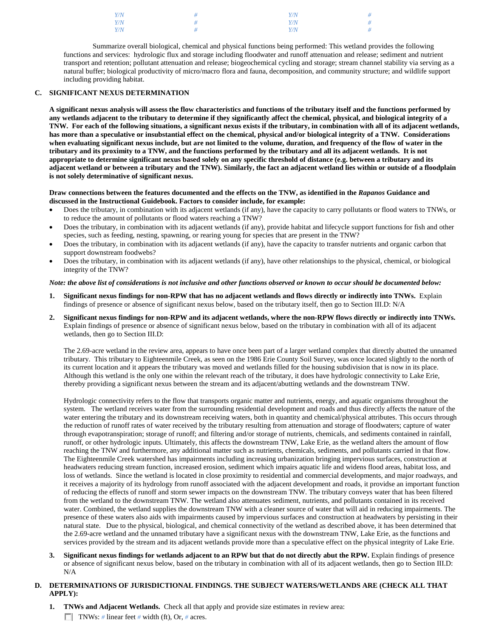| Y/N | $Y\!/\!N$ | # |
|-----|-----------|---|
| Y/N | Y/N       | # |
| Y/N | Y/N       | # |

Summarize overall biological, chemical and physical functions being performed: This wetland provides the following functions and services: hydrologic flux and storage including floodwater and runoff attenuation and release; sediment and nutrient transport and retention; pollutant attenuation and release; biogeochemical cycling and storage; stream channel stability via serving as a natural buffer; biological productivity of micro/macro flora and fauna, decomposition, and community structure; and wildlife support including providing habitat.

# **C. SIGNIFICANT NEXUS DETERMINATION**

**A significant nexus analysis will assess the flow characteristics and functions of the tributary itself and the functions performed by any wetlands adjacent to the tributary to determine if they significantly affect the chemical, physical, and biological integrity of a TNW. For each of the following situations, a significant nexus exists if the tributary, in combination with all of its adjacent wetlands, has more than a speculative or insubstantial effect on the chemical, physical and/or biological integrity of a TNW. Considerations when evaluating significant nexus include, but are not limited to the volume, duration, and frequency of the flow of water in the tributary and its proximity to a TNW, and the functions performed by the tributary and all its adjacent wetlands. It is not appropriate to determine significant nexus based solely on any specific threshold of distance (e.g. between a tributary and its adjacent wetland or between a tributary and the TNW). Similarly, the fact an adjacent wetland lies within or outside of a floodplain is not solely determinative of significant nexus.** 

#### **Draw connections between the features documented and the effects on the TNW, as identified in the** *Rapanos* **Guidance and discussed in the Instructional Guidebook. Factors to consider include, for example:**

- Does the tributary, in combination with its adjacent wetlands (if any), have the capacity to carry pollutants or flood waters to TNWs, or to reduce the amount of pollutants or flood waters reaching a TNW?
- Does the tributary, in combination with its adjacent wetlands (if any), provide habitat and lifecycle support functions for fish and other species, such as feeding, nesting, spawning, or rearing young for species that are present in the TNW?
- Does the tributary, in combination with its adjacent wetlands (if any), have the capacity to transfer nutrients and organic carbon that support downstream foodwebs?
- Does the tributary, in combination with its adjacent wetlands (if any), have other relationships to the physical, chemical, or biological integrity of the TNW?

#### *Note: the above list of considerations is not inclusive and other functions observed or known to occur should be documented below:*

- **1. Significant nexus findings for non-RPW that has no adjacent wetlands and flows directly or indirectly into TNWs.** Explain findings of presence or absence of significant nexus below, based on the tributary itself, then go to Section III.D: N/A
- **2. Significant nexus findings for non-RPW and its adjacent wetlands, where the non-RPW flows directly or indirectly into TNWs.**  Explain findings of presence or absence of significant nexus below, based on the tributary in combination with all of its adjacent wetlands, then go to Section III.D:

The 2.69-acre wetland in the review area, appears to have once been part of a larger wetland complex that directly abutted the unnamed tributary. This tributary to Eighteenmile Creek, as seen on the 1986 Erie County Soil Survey, was once located slightly to the north of its current location and it appears the tributary was moved and wetlands filled for the housing subdivision that is now in its place. Although this wetland is the only one within the relevant reach of the tributary, it does have hydrologic connectivity to Lake Erie, thereby providing a significant nexus between the stream and its adjacent/abutting wetlands and the downstream TNW.

Hydrologic connectivity refers to the flow that transports organic matter and nutrients, energy, and aquatic organisms throughout the system. The wetland receives water from the surrounding residential development and roads and thus directly affects the nature of the water entering the tributary and its downstream receiving waters, both in quantity and chemical/physical attributes. This occurs through the reduction of runoff rates of water received by the tributary resulting from attenuation and storage of floodwaters; capture of water through evapotranspiration; storage of runoff; and filtering and/or storage of nutrients, chemicals, and sediments contained in rainfall, runoff, or other hydrologic inputs. Ultimately, this affects the downstream TNW, Lake Erie, as the wetland alters the amount of flow reaching the TNW and furthermore, any additional matter such as nutrients, chemicals, sediments, and pollutants carried in that flow. The Eighteenmile Creek watershed has impairments including increasing urbanization bringing impervious surfaces, construction at headwaters reducing stream function, increased erosion, sediment which impairs aquatic life and widens flood areas, habitat loss, and loss of wetlands. Since the wetland is located in close proximity to residential and commercial developments, and major roadways, and it receives a majority of its hydrology from runoff associated with the adjacent development and roads, it providse an important function of reducing the effects of runoff and storm sewer impacts on the downstream TNW. The tributary conveys water that has been filtered from the wetland to the downstream TNW. The wetland also attenuates sediment, nutrients, and pollutants contained in its received water. Combined, the wetland supplies the downstream TNW with a cleaner source of water that will aid in reducing impairments. The presence of these waters also aids with impairments caused by impervious surfaces and construction at headwaters by persisting in their natural state. Due to the physical, biological, and chemical connectivity of the wetland as described above, it has been determined that the 2.69-acre wetland and the unnamed tributary have a significant nexus with the downstream TNW, Lake Erie, as the functions and services provided by the stream and its adjacent wetlands provide more than a speculative effect on the physical integrity of Lake Erie.

**3. Significant nexus findings for wetlands adjacent to an RPW but that do not directly abut the RPW.** Explain findings of presence or absence of significant nexus below, based on the tributary in combination with all of its adjacent wetlands, then go to Section III.D: N/A

# **D. DETERMINATIONS OF JURISDICTIONAL FINDINGS. THE SUBJECT WATERS/WETLANDS ARE (CHECK ALL THAT APPLY):**

**1. TNWs and Adjacent Wetlands.** Check all that apply and provide size estimates in review area: TNWs: *#* linear feet *#* width (ft), Or, *#* acres.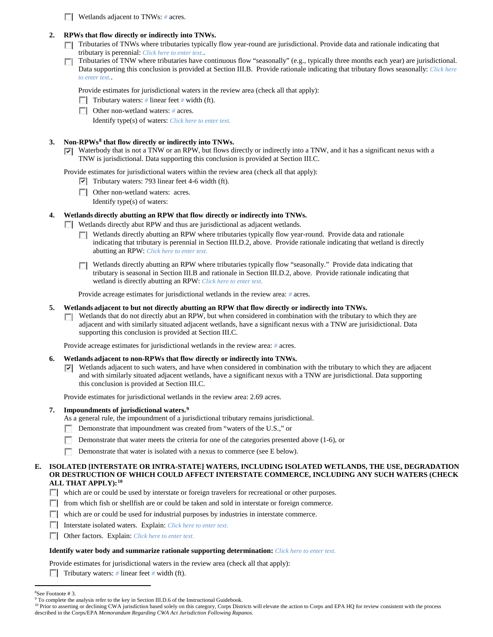**Wetlands adjacent to TNWs:** # acres.

# **2. RPWs that flow directly or indirectly into TNWs.**

- Tributaries of TNWs where tributaries typically flow year-round are jurisdictional. Provide data and rationale indicating that tributary is perennial: *Click here to enter text.*.
- Tributaries of TNW where tributaries have continuous flow "seasonally" (e.g., typically three months each year) are jurisdictional.  $\sim$ Data supporting this conclusion is provided at Section III.B. Provide rationale indicating that tributary flows seasonally: *Click here to enter text.*.

Provide estimates for jurisdictional waters in the review area (check all that apply):

- **Tributary waters:** # linear feet # width (ft).
- Other non-wetland waters: *#* acres.

Identify type(s) of waters: *Click here to enter text.*

# **3. Non-RPWs[8](#page-5-0) that flow directly or indirectly into TNWs.**

Waterbody that is not a TNW or an RPW, but flows directly or indirectly into a TNW, and it has a significant nexus with a TNW is jurisdictional. Data supporting this conclusion is provided at Section III.C.

Provide estimates for jurisdictional waters within the review area (check all that apply):

- $\triangledown$  Tributary waters: 793 linear feet 4-6 width (ft).
- Other non-wetland waters: acres.

Identify type(s) of waters:

# **4. Wetlands directly abutting an RPW that flow directly or indirectly into TNWs.**

Wetlands directly abut RPW and thus are jurisdictional as adjacent wetlands.

- Wetlands directly abutting an RPW where tributaries typically flow year-round. Provide data and rationale indicating that tributary is perennial in Section III.D.2, above. Provide rationale indicating that wetland is directly abutting an RPW: *Click here to enter text.*
- Wetlands directly abutting an RPW where tributaries typically flow "seasonally." Provide data indicating that tributary is seasonal in Section III.B and rationale in Section III.D.2, above. Provide rationale indicating that wetland is directly abutting an RPW: *Click here to enter text.*

Provide acreage estimates for jurisdictional wetlands in the review area: *#* acres.

- **5. Wetlands adjacent to but not directly abutting an RPW that flow directly or indirectly into TNWs.**
	- $\Box$  Wetlands that do not directly abut an RPW, but when considered in combination with the tributary to which they are adjacent and with similarly situated adjacent wetlands, have a significant nexus with a TNW are jurisidictional. Data supporting this conclusion is provided at Section III.C.

Provide acreage estimates for jurisdictional wetlands in the review area: *#* acres.

#### **6. Wetlands adjacent to non-RPWs that flow directly or indirectly into TNWs.**

Wetlands adjacent to such waters, and have when considered in combination with the tributary to which they are adjacent and with similarly situated adjacent wetlands, have a significant nexus with a TNW are jurisdictional. Data supporting this conclusion is provided at Section III.C.

Provide estimates for jurisdictional wetlands in the review area: 2.69 acres.

#### **7. Impoundments of jurisdictional waters. [9](#page-5-1)**

- As a general rule, the impoundment of a jurisdictional tributary remains jurisdictional.
- Demonstrate that impoundment was created from "waters of the U.S.," or
- **Participate** Demonstrate that water meets the criteria for one of the categories presented above (1-6), or
- **Demonstrate that water is isolated with a nexus to commerce (see E below).**

# **E. ISOLATED [INTERSTATE OR INTRA-STATE] WATERS, INCLUDING ISOLATED WETLANDS, THE USE, DEGRADATION OR DESTRUCTION OF WHICH COULD AFFECT INTERSTATE COMMERCE, INCLUDING ANY SUCH WATERS (CHECK ALL THAT APPLY):[10](#page-5-2)**

- which are or could be used by interstate or foreign travelers for recreational or other purposes.
- $\Box$  from which fish or shellfish are or could be taken and sold in interstate or foreign commerce.
- which are or could be used for industrial purposes by industries in interstate commerce.
- Interstate isolated waters.Explain: *Click here to enter text.*
- Other factors.Explain: *Click here to enter text.*

#### **Identify water body and summarize rationale supporting determination:** *Click here to enter text.*

Provide estimates for jurisdictional waters in the review area (check all that apply):

**Tributary waters:**  $\#$  linear feet  $\#$  width (ft).

 $\frac{1}{8}$ 

<span id="page-5-0"></span><sup>&</sup>lt;sup>8</sup>See Footnote # 3.<br><sup>9</sup> To complete the analysis refer to the key in Section III.D.6 of the Instructional Guidebook.

<span id="page-5-2"></span><span id="page-5-1"></span><sup>&</sup>lt;sup>10</sup> Prior to asserting or declining CWA jurisdiction based solely on this category, Corps Districts will elevate the action to Corps and EPA HQ for review consistent with the process described in the Corps/EPA *Memorandum Regarding CWA Act Jurisdiction Following Rapanos.*